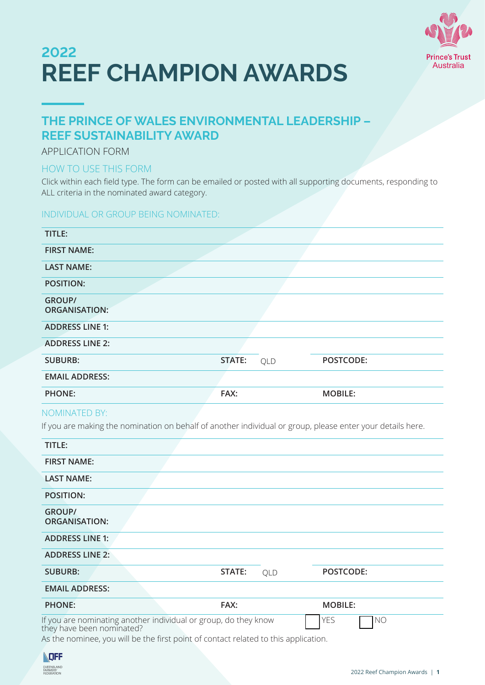

# **2022 REEF CHAMPION AWARDS**

## **THE PRINCE OF WALES ENVIRONMENTAL LEADERSHIP – REEF SUSTAINABILITY AWARD**

## APPLICATION FORM

### HOW TO USE THIS FORM

Click within each field type. The form can be emailed or posted with all supporting documents, responding to ALL criteria in the nominated award category.

### INDIVIDUAL OR GROUP BEING NOMINATED:

| TITLE:                                |               |                |
|---------------------------------------|---------------|----------------|
| <b>FIRST NAME:</b>                    |               |                |
| <b>LAST NAME:</b>                     |               |                |
| <b>POSITION:</b>                      |               |                |
| <b>GROUP/</b><br><b>ORGANISATION:</b> |               |                |
| <b>ADDRESS LINE 1:</b>                |               |                |
| <b>ADDRESS LINE 2:</b>                |               |                |
| <b>SUBURB:</b>                        | STATE:<br>QLD | POSTCODE:      |
| <b>EMAIL ADDRESS:</b>                 |               |                |
| <b>PHONE:</b>                         | FAX:          | <b>MOBILE:</b> |

### NOMINATED BY:

If you are making the nomination on behalf of another individual or group, please enter your details here.

| TITLE:                                                                                                                                                                              |        |     |                         |  |
|-------------------------------------------------------------------------------------------------------------------------------------------------------------------------------------|--------|-----|-------------------------|--|
| <b>FIRST NAME:</b>                                                                                                                                                                  |        |     |                         |  |
| <b>LAST NAME:</b>                                                                                                                                                                   |        |     |                         |  |
| <b>POSITION:</b>                                                                                                                                                                    |        |     |                         |  |
| <b>GROUP/</b><br><b>ORGANISATION:</b>                                                                                                                                               |        |     |                         |  |
| <b>ADDRESS LINE 1:</b>                                                                                                                                                              |        |     |                         |  |
| <b>ADDRESS LINE 2:</b>                                                                                                                                                              |        |     |                         |  |
| <b>SUBURB:</b>                                                                                                                                                                      | STATE: | QLD | POSTCODE:               |  |
| <b>EMAIL ADDRESS:</b>                                                                                                                                                               |        |     |                         |  |
| <b>PHONE:</b>                                                                                                                                                                       | FAX:   |     | <b>MOBILE:</b>          |  |
| If you are nominating another individual or group, do they know<br>they have been nominated?<br>As the nominee, you will be the first point of contact related to this application. |        |     | <b>YES</b><br><b>NO</b> |  |

| OUEENSL<br>ARMERS<br>E<br>DERA<br>с<br>sΕ |  |
|-------------------------------------------|--|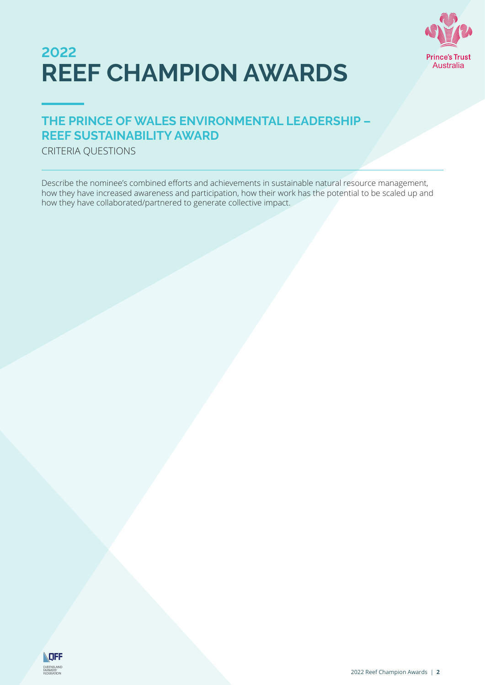

# **2022 REEF CHAMPION AWARDS**

## **THE PRINCE OF WALES ENVIRONMENTAL LEADERSHIP – REEF SUSTAINABILITY AWARD**

CRITERIA QUESTIONS

Describe the nominee's combined efforts and achievements in sustainable natural resource management, how they have increased awareness and participation, how their work has the potential to be scaled up and how they have collaborated/partnered to generate collective impact.